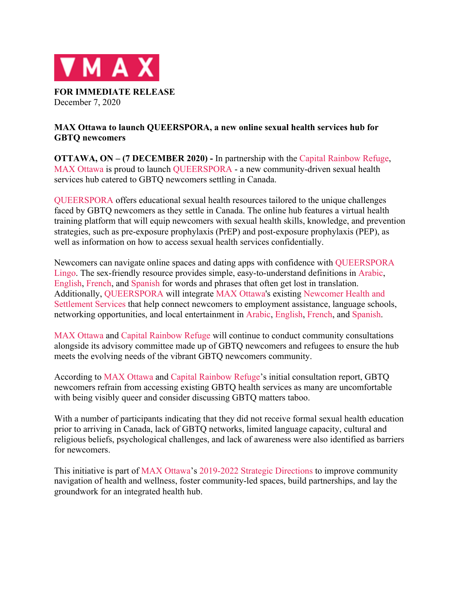

December 7, 2020

# **MAX Ottawa to launch QUEERSPORA, a new online sexual health services hub for GBTQ newcomers**

**OTTAWA, ON – (7 DECEMBER 2020) -** In partnership with the Capital Rainbow Refuge, MAX Ottawa is proud to launch QUEERSPORA - a new community-driven sexual health services hub catered to GBTQ newcomers settling in Canada.

QUEERSPORA offers educational sexual health resources tailored to the unique challenges faced by GBTQ newcomers as they settle in Canada. The online hub features a virtual health training platform that will equip newcomers with sexual health skills, knowledge, and prevention strategies, such as pre-exposure prophylaxis (PrEP) and post-exposure prophylaxis (PEP), as well as information on how to access sexual health services confidentially.

Newcomers can navigate online spaces and dating apps with confidence with QUEERSPORA Lingo. The sex-friendly resource provides simple, easy-to-understand definitions in Arabic, English, French, and Spanish for words and phrases that often get lost in translation. Additionally, QUEERSPORA will integrate MAX Ottawa's existing Newcomer Health and Settlement Services that help connect newcomers to employment assistance, language schools, networking opportunities, and local entertainment in Arabic, English, French, and Spanish.

MAX Ottawa and Capital Rainbow Refuge will continue to conduct community consultations alongside its advisory committee made up of GBTQ newcomers and refugees to ensure the hub meets the evolving needs of the vibrant GBTQ newcomers community.

According to MAX Ottawa and Capital Rainbow Refuge's initial consultation report, GBTQ newcomers refrain from accessing existing GBTQ health services as many are uncomfortable with being visibly queer and consider discussing GBTQ matters taboo.

With a number of participants indicating that they did not receive formal sexual health education prior to arriving in Canada, lack of GBTQ networks, limited language capacity, cultural and religious beliefs, psychological challenges, and lack of awareness were also identified as barriers for newcomers.

This initiative is part of MAX Ottawa's 2019-2022 Strategic Directions to improve community navigation of health and wellness, foster community-led spaces, build partnerships, and lay the groundwork for an integrated health hub.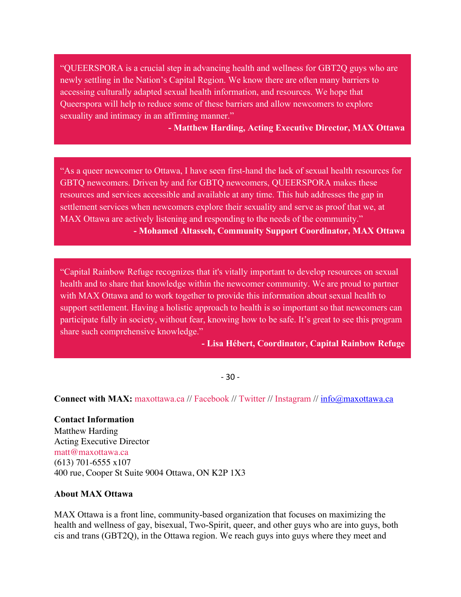"QUEERSPORA is a crucial step in advancing health and wellness for GBT2Q guys who are newly settling in the Nation's Capital Region. We know there are often many barriers to accessing culturally adapted sexual health information, and resources. We hope that Queerspora will help to reduce some of these barriers and allow newcomers to explore sexuality and intimacy in an affirming manner."

**- Matthew Harding, Acting Executive Director, MAX Ottawa**

"As a queer newcomer to Ottawa, I have seen first-hand the lack of sexual health resources for GBTQ newcomers. Driven by and for GBTQ newcomers, QUEERSPORA makes these resources and services accessible and available at any time. This hub addresses the gap in settlement services when newcomers explore their sexuality and serve as proof that we, at MAX Ottawa are actively listening and responding to the needs of the community." **- Mohamed Altasseh, Community Support Coordinator, MAX Ottawa** 

"Capital Rainbow Refuge recognizes that it's vitally important to develop resources on sexual health and to share that knowledge within the newcomer community. We are proud to partner with MAX Ottawa and to work together to provide this information about sexual health to support settlement. Having a holistic approach to health is so important so that newcomers can participate fully in society, without fear, knowing how to be safe. It's great to see this program share such comprehensive knowledge."

**- Lisa Hébert, Coordinator, Capital Rainbow Refuge**

- 30 -

**Connect with MAX:** maxottawa.ca // Facebook // Twitter // Instagram // info@maxottawa.ca

**Contact Information**  Matthew Harding Acting Executive Director matt@maxottawa.ca (613) 701-6555 x107 400 rue, Cooper St Suite 9004 Ottawa, ON K2P 1X3

#### **About MAX Ottawa**

MAX Ottawa is a front line, community-based organization that focuses on maximizing the health and wellness of gay, bisexual, Two-Spirit, queer, and other guys who are into guys, both cis and trans (GBT2Q), in the Ottawa region. We reach guys into guys where they meet and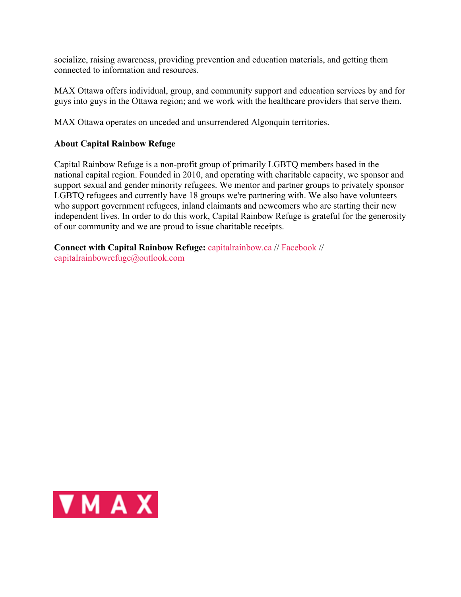socialize, raising awareness, providing prevention and education materials, and getting them connected to information and resources.

MAX Ottawa offers individual, group, and community support and education services by and for guys into guys in the Ottawa region; and we work with the healthcare providers that serve them.

MAX Ottawa operates on unceded and unsurrendered Algonquin territories.

# **About Capital Rainbow Refuge**

Capital Rainbow Refuge is a non-profit group of primarily LGBTQ members based in the national capital region. Founded in 2010, and operating with charitable capacity, we sponsor and support sexual and gender minority refugees. We mentor and partner groups to privately sponsor LGBTQ refugees and currently have 18 groups we're partnering with. We also have volunteers who support government refugees, inland claimants and newcomers who are starting their new independent lives. In order to do this work, Capital Rainbow Refuge is grateful for the generosity of our community and we are proud to issue charitable receipts.

**Connect with Capital Rainbow Refuge:** capitalrainbow.ca // Facebook // capitalrainbowrefuge@outlook.com

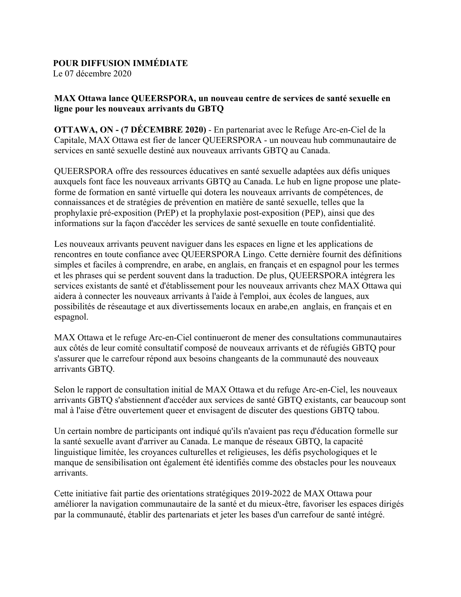### **POUR DIFFUSION IMMÉDIATE**

Le 07 décembre 2020

# **MAX Ottawa lance QUEERSPORA, un nouveau centre de services de santé sexuelle en ligne pour les nouveaux arrivants du GBTQ**

**OTTAWA, ON - (7 DÉCEMBRE 2020)** - En partenariat avec le Refuge Arc-en-Ciel de la Capitale, MAX Ottawa est fier de lancer QUEERSPORA - un nouveau hub communautaire de services en santé sexuelle destiné aux nouveaux arrivants GBTQ au Canada.

QUEERSPORA offre des ressources éducatives en santé sexuelle adaptées aux défis uniques auxquels font face les nouveaux arrivants GBTQ au Canada. Le hub en ligne propose une plateforme de formation en santé virtuelle qui dotera les nouveaux arrivants de compétences, de connaissances et de stratégies de prévention en matière de santé sexuelle, telles que la prophylaxie pré-exposition (PrEP) et la prophylaxie post-exposition (PEP), ainsi que des informations sur la façon d'accéder les services de santé sexuelle en toute confidentialité.

Les nouveaux arrivants peuvent naviguer dans les espaces en ligne et les applications de rencontres en toute confiance avec QUEERSPORA Lingo. Cette dernière fournit des définitions simples et faciles à comprendre, en arabe, en anglais, en français et en espagnol pour les termes et les phrases qui se perdent souvent dans la traduction. De plus, QUEERSPORA intégrera les services existants de santé et d'établissement pour les nouveaux arrivants chez MAX Ottawa qui aidera à connecter les nouveaux arrivants à l'aide à l'emploi, aux écoles de langues, aux possibilités de réseautage et aux divertissements locaux en arabe,en anglais, en français et en espagnol.

MAX Ottawa et le refuge Arc-en-Ciel continueront de mener des consultations communautaires aux côtés de leur comité consultatif composé de nouveaux arrivants et de réfugiés GBTQ pour s'assurer que le carrefour répond aux besoins changeants de la communauté des nouveaux arrivants GBTQ.

Selon le rapport de consultation initial de MAX Ottawa et du refuge Arc-en-Ciel, les nouveaux arrivants GBTQ s'abstiennent d'accéder aux services de santé GBTQ existants, car beaucoup sont mal à l'aise d'être ouvertement queer et envisagent de discuter des questions GBTQ tabou.

Un certain nombre de participants ont indiqué qu'ils n'avaient pas reçu d'éducation formelle sur la santé sexuelle avant d'arriver au Canada. Le manque de réseaux GBTQ, la capacité linguistique limitée, les croyances culturelles et religieuses, les défis psychologiques et le manque de sensibilisation ont également été identifiés comme des obstacles pour les nouveaux arrivants.

Cette initiative fait partie des orientations stratégiques 2019-2022 de MAX Ottawa pour améliorer la navigation communautaire de la santé et du mieux-être, favoriser les espaces dirigés par la communauté, établir des partenariats et jeter les bases d'un carrefour de santé intégré.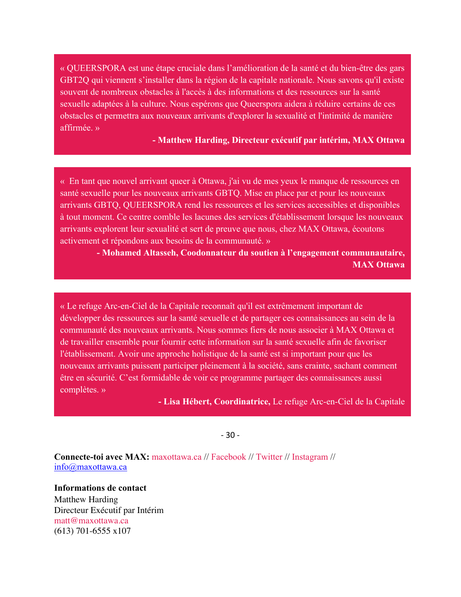« QUEERSPORA est une étape cruciale dans l'amélioration de la santé et du bien-être des gars GBT2Q qui viennent s'installer dans la région de la capitale nationale. Nous savons qu'il existe souvent de nombreux obstacles à l'accès à des informations et des ressources sur la santé sexuelle adaptées à la culture. Nous espérons que Queerspora aidera à réduire certains de ces obstacles et permettra aux nouveaux arrivants d'explorer la sexualité et l'intimité de manière affirmée. »

**- Matthew Harding, Directeur exécutif par intérim, MAX Ottawa**

« En tant que nouvel arrivant queer à Ottawa, j'ai vu de mes yeux le manque de ressources en santé sexuelle pour les nouveaux arrivants GBTQ. Mise en place par et pour les nouveaux arrivants GBTQ, QUEERSPORA rend les ressources et les services accessibles et disponibles à tout moment. Ce centre comble les lacunes des services d'établissement lorsque les nouveaux arrivants explorent leur sexualité et sert de preuve que nous, chez MAX Ottawa, écoutons activement et répondons aux besoins de la communauté. »

> **- Mohamed Altasseh, Coodonnateur du soutien à l'engagement communautaire, MAX Ottawa**

« Le refuge Arc-en-Ciel de la Capitale reconnaît qu'il est extrêmement important de développer des ressources sur la santé sexuelle et de partager ces connaissances au sein de la communauté des nouveaux arrivants. Nous sommes fiers de nous associer à MAX Ottawa et de travailler ensemble pour fournir cette information sur la santé sexuelle afin de favoriser l'établissement. Avoir une approche holistique de la santé est si important pour que les nouveaux arrivants puissent participer pleinement à la société, sans crainte, sachant comment être en sécurité. C'est formidable de voir ce programme partager des connaissances aussi complètes. »

**- Lisa Hébert, Coordinatrice,** Le refuge Arc-en-Ciel de la Capitale

- 30 -

**Connecte-toi avec MAX:** maxottawa.ca // Facebook // Twitter // Instagram // info@maxottawa.ca

**Informations de contact** Matthew Harding Directeur Exécutif par Intérim matt@maxottawa.ca (613) 701-6555 x107